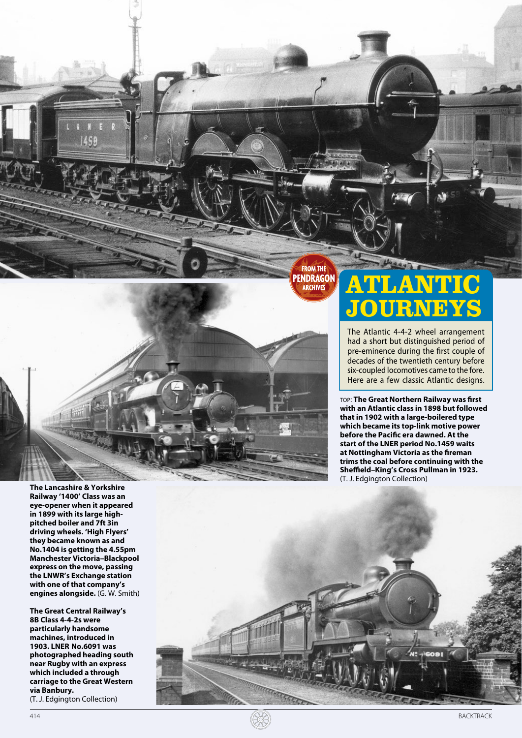**FROM THE PENDRAGON ARCHIVES** 

**The Lancashire & Yorkshire Railway '1400' Class was an eye-opener when it appeared in 1899 with its large highpitched boiler and 7ft 3in driving wheels. 'High Flyers' they became known as and No.1404 is getting the 4.55pm Manchester Victoria–Blackpool express on the move, passing the LNWR's Exchange station with one of that company's engines alongside.** (G. W. Smith)

459

**The Great Central Railway's 8B Class 4 - 4 -2s were particularly handsome machines, introduced in 1903. LNER No.6091 was photographed heading south near Rugby with an express which included a through carriage to the Great Western via Banbury.**  (T. J. Edgington Collection)

**TLANT JOURNEYS**

The Atlantic 4‑4‑2 wheel arrangement had a short but distinguished period of pre -eminence during the first couple of decades of the twentieth century before six -coupled locomotives came to the fore. Here are a few classic Atlantic designs.

top: **The Great Northern Railway was first with an Atlantic class in 1898 but followed that in 1902 with a large-boilered type which became its top-link motive power before the Pacific era dawned. At the start of the LNER period No.1459 waits at Nottingham Victoria as the fireman trims the coal before continuing with the Sheffield–King's Cross Pullman in 1923.** (T. J. Edgington Collection)



**SEER**